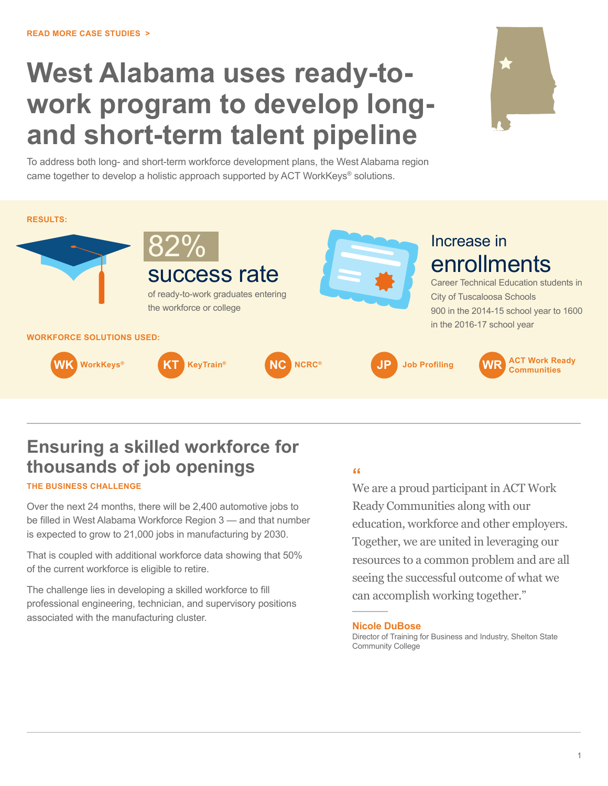# **West Alabama uses ready-towork program to develop longand short-term talent pipeline**



To address both long- and short-term workforce development plans, the West Alabama region came together to develop a holistic approach supported by ACT WorkKeys<sup>®</sup> solutions.



# **Ensuring a skilled workforce for thousands of job openings**

#### **THE BUSINESS CHALLENGE**

Over the next 24 months, there will be 2,400 automotive jobs to be filled in West Alabama Workforce Region 3 — and that number is expected to grow to 21,000 jobs in manufacturing by 2030.

That is coupled with additional workforce data showing that 50% of the current workforce is eligible to retire.

The challenge lies in developing a skilled workforce to fill professional engineering, technician, and supervisory positions associated with the manufacturing cluster.

### **"**

We are a proud participant in ACT Work Ready Communities along with our education, workforce and other employers. Together, we are united in leveraging our resources to a common problem and are all seeing the successful outcome of what we can accomplish working together."

#### **Nicole DuBose**

Director of Training for Business and Industry, Shelton State Community College